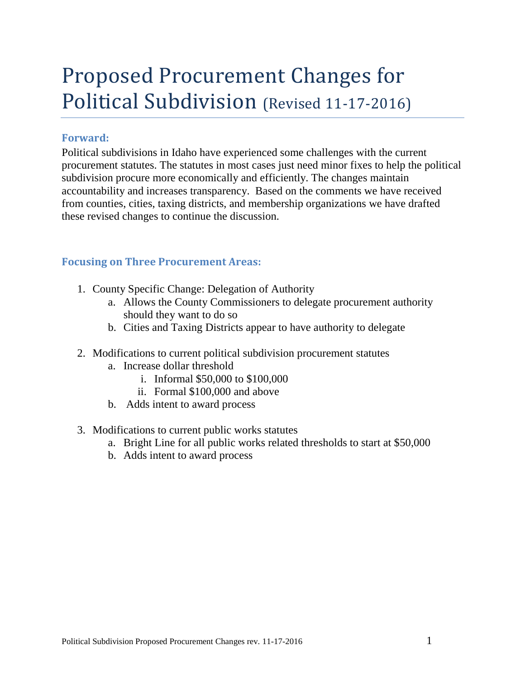# Proposed Procurement Changes for Political Subdivision (Revised 11-17-2016)

## **Forward:**

Political subdivisions in Idaho have experienced some challenges with the current procurement statutes. The statutes in most cases just need minor fixes to help the political subdivision procure more economically and efficiently. The changes maintain accountability and increases transparency. Based on the comments we have received from counties, cities, taxing districts, and membership organizations we have drafted these revised changes to continue the discussion.

## **Focusing on Three Procurement Areas:**

- 1. County Specific Change: Delegation of Authority
	- a. Allows the County Commissioners to delegate procurement authority should they want to do so
	- b. Cities and Taxing Districts appear to have authority to delegate
- 2. Modifications to current political subdivision procurement statutes
	- a. Increase dollar threshold
		- i. Informal \$50,000 to \$100,000
		- ii. Formal \$100,000 and above
	- b. Adds intent to award process
- 3. Modifications to current public works statutes
	- a. Bright Line for all public works related thresholds to start at \$50,000
	- b. Adds intent to award process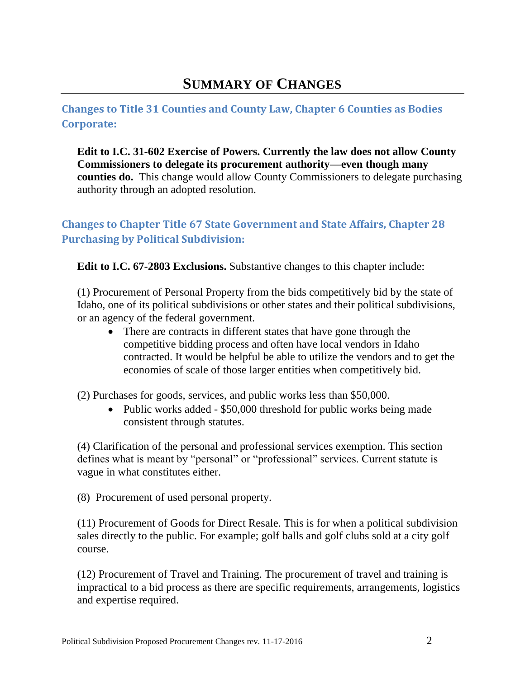## **SUMMARY OF CHANGES**

## **Changes to Title 31 Counties and County Law, Chapter 6 Counties as Bodies Corporate:**

**Edit to I.C. 31-602 Exercise of Powers. Currently the law does not allow County Commissioners to delegate its procurement authority—even though many counties do.** This change would allow County Commissioners to delegate purchasing authority through an adopted resolution.

## **Changes to Chapter Title 67 State Government and State Affairs, Chapter 28 Purchasing by Political Subdivision:**

**Edit to I.C. 67-2803 Exclusions.** Substantive changes to this chapter include:

(1) Procurement of Personal Property from the bids competitively bid by the state of Idaho, one of its political subdivisions or other states and their political subdivisions, or an agency of the federal government.

• There are contracts in different states that have gone through the competitive bidding process and often have local vendors in Idaho contracted. It would be helpful be able to utilize the vendors and to get the economies of scale of those larger entities when competitively bid.

(2) Purchases for goods, services, and public works less than \$50,000.

• Public works added - \$50,000 threshold for public works being made consistent through statutes.

(4) Clarification of the personal and professional services exemption. This section defines what is meant by "personal" or "professional" services. Current statute is vague in what constitutes either.

(8) Procurement of used personal property.

(11) Procurement of Goods for Direct Resale. This is for when a political subdivision sales directly to the public. For example; golf balls and golf clubs sold at a city golf course.

(12) Procurement of Travel and Training. The procurement of travel and training is impractical to a bid process as there are specific requirements, arrangements, logistics and expertise required.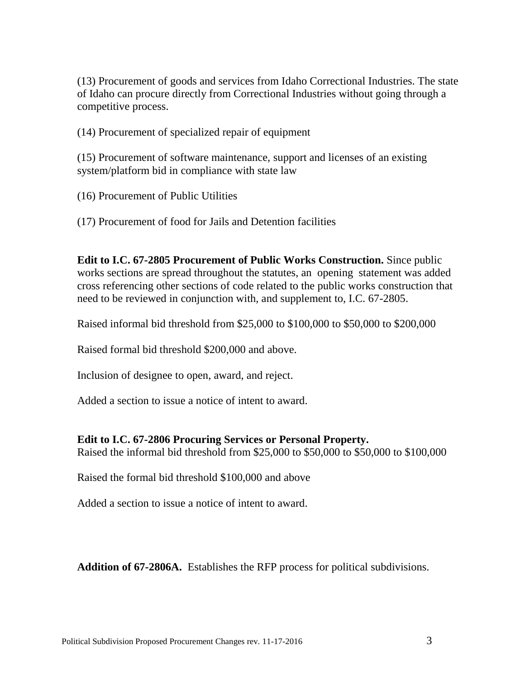(13) Procurement of goods and services from Idaho Correctional Industries. The state of Idaho can procure directly from Correctional Industries without going through a competitive process.

(14) Procurement of specialized repair of equipment

(15) Procurement of software maintenance, support and licenses of an existing system/platform bid in compliance with state law

(16) Procurement of Public Utilities

(17) Procurement of food for Jails and Detention facilities

**Edit to I.C. 67-2805 Procurement of Public Works Construction.** Since public works sections are spread throughout the statutes, an opening statement was added cross referencing other sections of code related to the public works construction that need to be reviewed in conjunction with, and supplement to, I.C. 67-2805.

Raised informal bid threshold from \$25,000 to \$100,000 to \$50,000 to \$200,000

Raised formal bid threshold \$200,000 and above.

Inclusion of designee to open, award, and reject.

Added a section to issue a notice of intent to award.

#### **Edit to I.C. 67-2806 Procuring Services or Personal Property.**

Raised the informal bid threshold from \$25,000 to \$50,000 to \$50,000 to \$100,000

Raised the formal bid threshold \$100,000 and above

Added a section to issue a notice of intent to award.

**Addition of 67-2806A.** Establishes the RFP process for political subdivisions.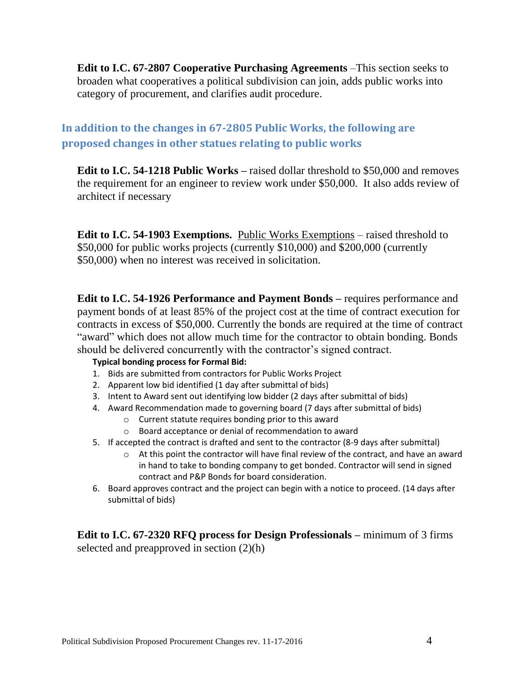**Edit to I.C. 67-2807 Cooperative Purchasing Agreements** –This section seeks to broaden what cooperatives a political subdivision can join, adds public works into category of procurement, and clarifies audit procedure.

**In addition to the changes in 67-2805 Public Works, the following are proposed changes in other statues relating to public works**

**Edit to I.C. 54-1218 Public Works –** raised dollar threshold to \$50,000 and removes the requirement for an engineer to review work under \$50,000. It also adds review of architect if necessary

**Edit to I.C. 54-1903 Exemptions.** Public Works Exemptions – raised threshold to \$50,000 for public works projects (currently \$10,000) and \$200,000 (currently \$50,000) when no interest was received in solicitation.

**Edit to I.C. 54-1926 Performance and Payment Bonds –** requires performance and payment bonds of at least 85% of the project cost at the time of contract execution for contracts in excess of \$50,000. Currently the bonds are required at the time of contract "award" which does not allow much time for the contractor to obtain bonding. Bonds should be delivered concurrently with the contractor's signed contract.

#### **Typical bonding process for Formal Bid:**

- 1. Bids are submitted from contractors for Public Works Project
- 2. Apparent low bid identified (1 day after submittal of bids)
- 3. Intent to Award sent out identifying low bidder (2 days after submittal of bids)
- 4. Award Recommendation made to governing board (7 days after submittal of bids)
	- o Current statute requires bonding prior to this award
		- o Board acceptance or denial of recommendation to award
- 5. If accepted the contract is drafted and sent to the contractor (8-9 days after submittal)
	- $\circ$  At this point the contractor will have final review of the contract, and have an award in hand to take to bonding company to get bonded. Contractor will send in signed contract and P&P Bonds for board consideration.
- 6. Board approves contract and the project can begin with a notice to proceed. (14 days after submittal of bids)

**Edit to I.C. 67-2320 RFQ process for Design Professionals –** minimum of 3 firms selected and preapproved in section (2)(h)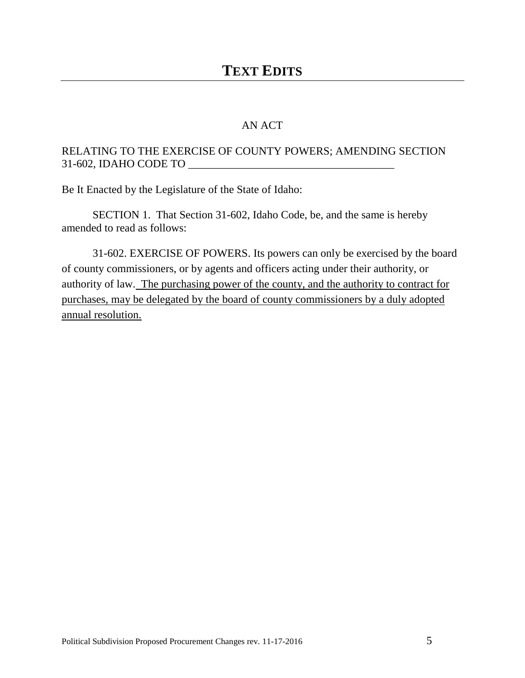### AN ACT

## RELATING TO THE EXERCISE OF COUNTY POWERS; AMENDING SECTION 31-602, IDAHO CODE TO \_\_\_\_\_\_\_\_\_\_\_\_\_\_\_\_\_\_\_\_\_\_\_\_\_\_\_\_\_\_\_\_\_\_\_\_\_

Be It Enacted by the Legislature of the State of Idaho:

SECTION 1. That Section 31-602, Idaho Code, be, and the same is hereby amended to read as follows:

31-602. EXERCISE OF POWERS. Its powers can only be exercised by the board of county commissioners, or by agents and officers acting under their authority, or authority of law. The purchasing power of the county, and the authority to contract for purchases, may be delegated by the board of county commissioners by a duly adopted annual resolution.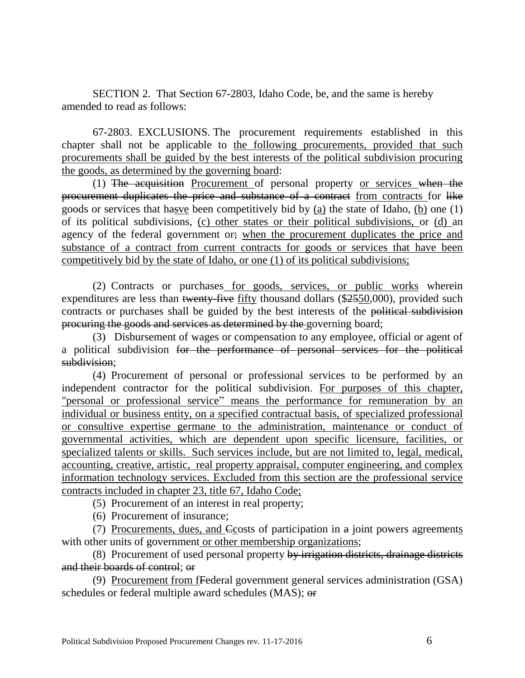SECTION 2. That Section 67-2803, Idaho Code, be, and the same is hereby amended to read as follows:

67-2803. EXCLUSIONS. The procurement requirements established in this chapter shall not be applicable to the following procurements, provided that such procurements shall be guided by the best interests of the political subdivision procuring the goods, as determined by the governing board:

(1) The acquisition Procurement of personal property or services when the procurement duplicates the price and substance of a contract from contracts for like goods or services that hasve been competitively bid by (a) the state of Idaho, (b) one (1) of its political subdivisions, (c) other states or their political subdivisions, or (d) an agency of the federal government or; when the procurement duplicates the price and substance of a contract from current contracts for goods or services that have been competitively bid by the state of Idaho, or one (1) of its political subdivisions;

(2) Contracts or purchases for goods, services, or public works wherein expenditures are less than twenty-five fifty thousand dollars (\$2550,000), provided such contracts or purchases shall be guided by the best interests of the political subdivision procuring the goods and services as determined by the governing board;

(3) Disbursement of wages or compensation to any employee, official or agent of a political subdivision for the performance of personal services for the political subdivision;

(4) Procurement of personal or professional services to be performed by an independent contractor for the political subdivision. For purposes of this chapter, "personal or professional service" means the performance for remuneration by an individual or business entity, on a specified contractual basis, of specialized professional or consultive expertise germane to the administration, maintenance or conduct of governmental activities, which are dependent upon specific licensure, facilities, or specialized talents or skills. Such services include, but are not limited to, legal, medical, accounting, creative, artistic, real property appraisal, computer engineering, and complex information technology services. Excluded from this section are the professional service contracts included in chapter 23, title 67, Idaho Code;

(5) Procurement of an interest in real property;

(6) Procurement of insurance;

(7) Procurements, dues, and  $C$ costs of participation in  $a$  joint powers agreements with other units of government or other membership organizations;

(8) Procurement of used personal property by irrigation districts, drainage districts and their boards of control; or

(9) Procurement from fFederal government general services administration (GSA) schedules or federal multiple award schedules (MAS); or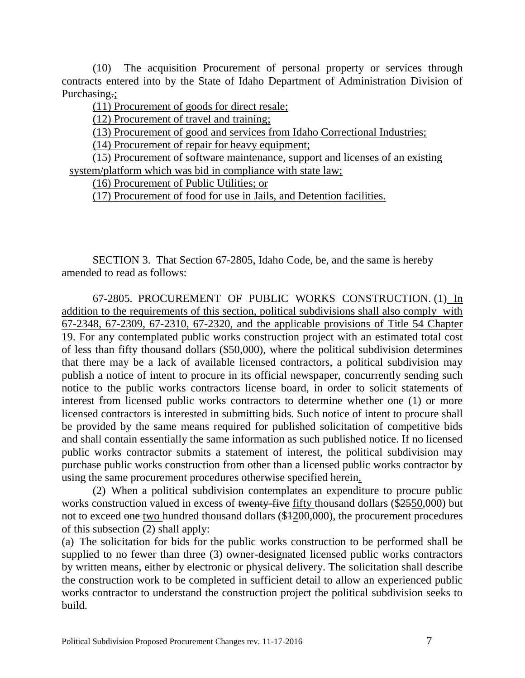(10) The acquisition Procurement of personal property or services through contracts entered into by the State of Idaho Department of Administration Division of Purchasing.;

(11) Procurement of goods for direct resale;

(12) Procurement of travel and training;

(13) Procurement of good and services from Idaho Correctional Industries;

(14) Procurement of repair for heavy equipment;

(15) Procurement of software maintenance, support and licenses of an existing system/platform which was bid in compliance with state law;

(16) Procurement of Public Utilities; or

(17) Procurement of food for use in Jails, and Detention facilities.

SECTION 3. That Section 67-2805, Idaho Code, be, and the same is hereby amended to read as follows:

67-2805. PROCUREMENT OF PUBLIC WORKS CONSTRUCTION. (1) In addition to the requirements of this section, political subdivisions shall also comply with 67-2348, 67-2309, 67-2310, 67-2320, and the applicable provisions of Title 54 Chapter 19. For any contemplated public works construction project with an estimated total cost of less than fifty thousand dollars (\$50,000), where the political subdivision determines that there may be a lack of available licensed contractors, a political subdivision may publish a notice of intent to procure in its official newspaper, concurrently sending such notice to the public works contractors license board, in order to solicit statements of interest from licensed public works contractors to determine whether one (1) or more licensed contractors is interested in submitting bids. Such notice of intent to procure shall be provided by the same means required for published solicitation of competitive bids and shall contain essentially the same information as such published notice. If no licensed public works contractor submits a statement of interest, the political subdivision may purchase public works construction from other than a licensed public works contractor by using the same procurement procedures otherwise specified herein.

(2) When a political subdivision contemplates an expenditure to procure public works construction valued in excess of twenty-five fifty thousand dollars (\$2550,000) but not to exceed one two hundred thousand dollars (\$1200,000), the procurement procedures of this subsection (2) shall apply:

(a) The solicitation for bids for the public works construction to be performed shall be supplied to no fewer than three (3) owner-designated licensed public works contractors by written means, either by electronic or physical delivery. The solicitation shall describe the construction work to be completed in sufficient detail to allow an experienced public works contractor to understand the construction project the political subdivision seeks to build.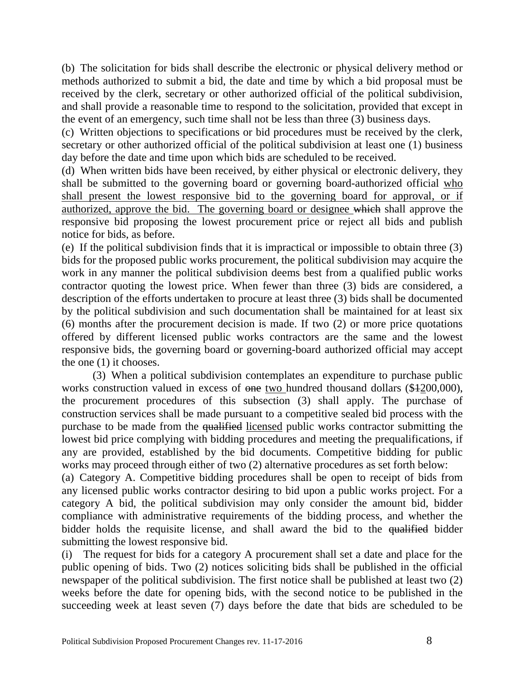(b) The solicitation for bids shall describe the electronic or physical delivery method or methods authorized to submit a bid, the date and time by which a bid proposal must be received by the clerk, secretary or other authorized official of the political subdivision, and shall provide a reasonable time to respond to the solicitation, provided that except in the event of an emergency, such time shall not be less than three (3) business days.

(c) Written objections to specifications or bid procedures must be received by the clerk, secretary or other authorized official of the political subdivision at least one (1) business day before the date and time upon which bids are scheduled to be received.

(d) When written bids have been received, by either physical or electronic delivery, they shall be submitted to the governing board or governing board-authorized official who shall present the lowest responsive bid to the governing board for approval, or if authorized, approve the bid. The governing board or designee which shall approve the responsive bid proposing the lowest procurement price or reject all bids and publish notice for bids, as before.

(e) If the political subdivision finds that it is impractical or impossible to obtain three (3) bids for the proposed public works procurement, the political subdivision may acquire the work in any manner the political subdivision deems best from a qualified public works contractor quoting the lowest price. When fewer than three (3) bids are considered, a description of the efforts undertaken to procure at least three (3) bids shall be documented by the political subdivision and such documentation shall be maintained for at least six (6) months after the procurement decision is made. If two (2) or more price quotations offered by different licensed public works contractors are the same and the lowest responsive bids, the governing board or governing-board authorized official may accept the one (1) it chooses.

(3) When a political subdivision contemplates an expenditure to purchase public works construction valued in excess of one two hundred thousand dollars (\$4200,000), the procurement procedures of this subsection (3) shall apply. The purchase of construction services shall be made pursuant to a competitive sealed bid process with the purchase to be made from the qualified licensed public works contractor submitting the lowest bid price complying with bidding procedures and meeting the prequalifications, if any are provided, established by the bid documents. Competitive bidding for public works may proceed through either of two (2) alternative procedures as set forth below:

(a) Category A. Competitive bidding procedures shall be open to receipt of bids from any licensed public works contractor desiring to bid upon a public works project. For a category A bid, the political subdivision may only consider the amount bid, bidder compliance with administrative requirements of the bidding process, and whether the bidder holds the requisite license, and shall award the bid to the qualified bidder submitting the lowest responsive bid.

(i) The request for bids for a category A procurement shall set a date and place for the public opening of bids. Two (2) notices soliciting bids shall be published in the official newspaper of the political subdivision. The first notice shall be published at least two (2) weeks before the date for opening bids, with the second notice to be published in the succeeding week at least seven (7) days before the date that bids are scheduled to be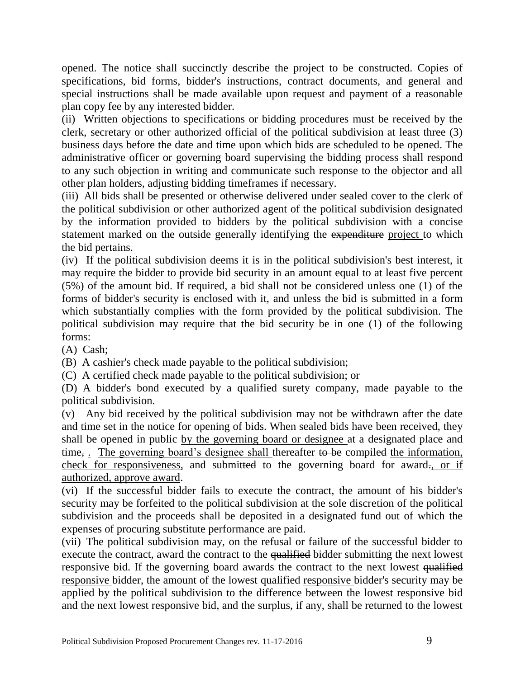opened. The notice shall succinctly describe the project to be constructed. Copies of specifications, bid forms, bidder's instructions, contract documents, and general and special instructions shall be made available upon request and payment of a reasonable plan copy fee by any interested bidder.

(ii) Written objections to specifications or bidding procedures must be received by the clerk, secretary or other authorized official of the political subdivision at least three (3) business days before the date and time upon which bids are scheduled to be opened. The administrative officer or governing board supervising the bidding process shall respond to any such objection in writing and communicate such response to the objector and all other plan holders, adjusting bidding timeframes if necessary.

(iii) All bids shall be presented or otherwise delivered under sealed cover to the clerk of the political subdivision or other authorized agent of the political subdivision designated by the information provided to bidders by the political subdivision with a concise statement marked on the outside generally identifying the expenditure project to which the bid pertains.

(iv) If the political subdivision deems it is in the political subdivision's best interest, it may require the bidder to provide bid security in an amount equal to at least five percent (5%) of the amount bid. If required, a bid shall not be considered unless one (1) of the forms of bidder's security is enclosed with it, and unless the bid is submitted in a form which substantially complies with the form provided by the political subdivision. The political subdivision may require that the bid security be in one (1) of the following forms:

(A) Cash;

(B) A cashier's check made payable to the political subdivision;

(C) A certified check made payable to the political subdivision; or

(D) A bidder's bond executed by a qualified surety company, made payable to the political subdivision.

(v) Any bid received by the political subdivision may not be withdrawn after the date and time set in the notice for opening of bids. When sealed bids have been received, they shall be opened in public by the governing board or designee at a designated place and time<sub>7</sub>. The governing board's designee shall thereafter to be compiled the information, check for responsiveness, and submitted to the governing board for award-, or if authorized, approve award.

(vi) If the successful bidder fails to execute the contract, the amount of his bidder's security may be forfeited to the political subdivision at the sole discretion of the political subdivision and the proceeds shall be deposited in a designated fund out of which the expenses of procuring substitute performance are paid.

(vii) The political subdivision may, on the refusal or failure of the successful bidder to execute the contract, award the contract to the qualified bidder submitting the next lowest responsive bid. If the governing board awards the contract to the next lowest qualified responsive bidder, the amount of the lowest qualified responsive bidder's security may be applied by the political subdivision to the difference between the lowest responsive bid and the next lowest responsive bid, and the surplus, if any, shall be returned to the lowest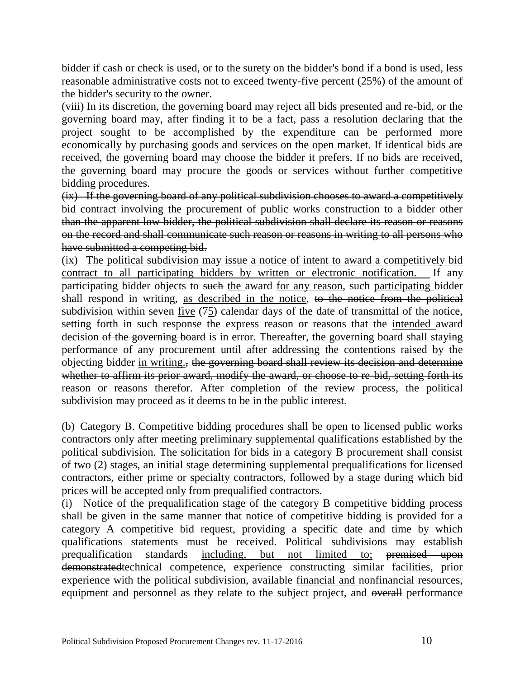bidder if cash or check is used, or to the surety on the bidder's bond if a bond is used, less reasonable administrative costs not to exceed twenty-five percent (25%) of the amount of the bidder's security to the owner.

(viii) In its discretion, the governing board may reject all bids presented and re-bid, or the governing board may, after finding it to be a fact, pass a resolution declaring that the project sought to be accomplished by the expenditure can be performed more economically by purchasing goods and services on the open market. If identical bids are received, the governing board may choose the bidder it prefers. If no bids are received, the governing board may procure the goods or services without further competitive bidding procedures.

(ix) If the governing board of any political subdivision chooses to award a competitively bid contract involving the procurement of public works construction to a bidder other than the apparent low bidder, the political subdivision shall declare its reason or reasons on the record and shall communicate such reason or reasons in writing to all persons who have submitted a competing bid.

(ix) The political subdivision may issue a notice of intent to award a competitively bid contract to all participating bidders by written or electronic notification. If any participating bidder objects to such the award for any reason, such participating bidder shall respond in writing, as described in the notice, to the notice from the political subdivision within seven five (75) calendar days of the date of transmittal of the notice, setting forth in such response the express reason or reasons that the intended award decision of the governing board is in error. Thereafter, the governing board shall staying performance of any procurement until after addressing the contentions raised by the objecting bidder in writing., the governing board shall review its decision and determine whether to affirm its prior award, modify the award, or choose to re-bid, setting forth its reason or reasons therefor. After completion of the review process, the political subdivision may proceed as it deems to be in the public interest.

(b) Category B. Competitive bidding procedures shall be open to licensed public works contractors only after meeting preliminary supplemental qualifications established by the political subdivision. The solicitation for bids in a category B procurement shall consist of two (2) stages, an initial stage determining supplemental prequalifications for licensed contractors, either prime or specialty contractors, followed by a stage during which bid prices will be accepted only from prequalified contractors.

(i) Notice of the prequalification stage of the category B competitive bidding process shall be given in the same manner that notice of competitive bidding is provided for a category A competitive bid request, providing a specific date and time by which qualifications statements must be received. Political subdivisions may establish prequalification standards including, but not limited to; premised upon demonstratedtechnical competence, experience constructing similar facilities, prior experience with the political subdivision, available financial and nonfinancial resources, equipment and personnel as they relate to the subject project, and overall performance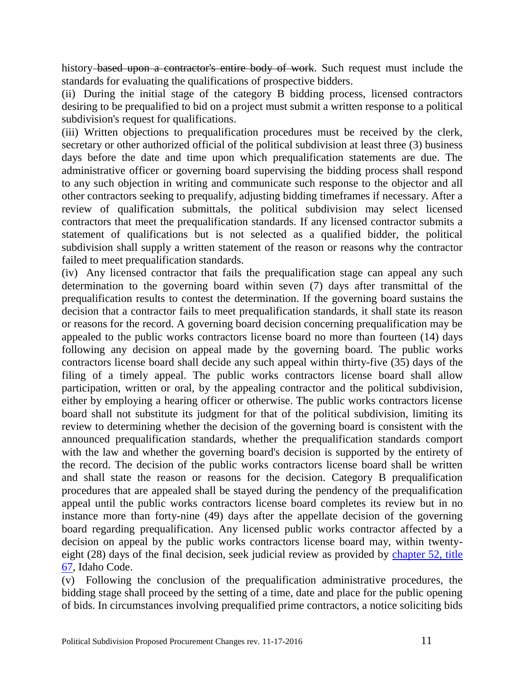history based upon a contractor's entire body of work. Such request must include the standards for evaluating the qualifications of prospective bidders.

(ii) During the initial stage of the category B bidding process, licensed contractors desiring to be prequalified to bid on a project must submit a written response to a political subdivision's request for qualifications.

(iii) Written objections to prequalification procedures must be received by the clerk, secretary or other authorized official of the political subdivision at least three (3) business days before the date and time upon which prequalification statements are due. The administrative officer or governing board supervising the bidding process shall respond to any such objection in writing and communicate such response to the objector and all other contractors seeking to prequalify, adjusting bidding timeframes if necessary. After a review of qualification submittals, the political subdivision may select licensed contractors that meet the prequalification standards. If any licensed contractor submits a statement of qualifications but is not selected as a qualified bidder, the political subdivision shall supply a written statement of the reason or reasons why the contractor failed to meet prequalification standards.

(iv) Any licensed contractor that fails the prequalification stage can appeal any such determination to the governing board within seven (7) days after transmittal of the prequalification results to contest the determination. If the governing board sustains the decision that a contractor fails to meet prequalification standards, it shall state its reason or reasons for the record. A governing board decision concerning prequalification may be appealed to the public works contractors license board no more than fourteen (14) days following any decision on appeal made by the governing board. The public works contractors license board shall decide any such appeal within thirty-five (35) days of the filing of a timely appeal. The public works contractors license board shall allow participation, written or oral, by the appealing contractor and the political subdivision, either by employing a hearing officer or otherwise. The public works contractors license board shall not substitute its judgment for that of the political subdivision, limiting its review to determining whether the decision of the governing board is consistent with the announced prequalification standards, whether the prequalification standards comport with the law and whether the governing board's decision is supported by the entirety of the record. The decision of the public works contractors license board shall be written and shall state the reason or reasons for the decision. Category B prequalification procedures that are appealed shall be stayed during the pendency of the prequalification appeal until the public works contractors license board completes its review but in no instance more than forty-nine (49) days after the appellate decision of the governing board regarding prequalification. Any licensed public works contractor affected by a decision on appeal by the public works contractors license board may, within twentyeight (28) days of the final decision, seek judicial review as provided by [chapter 52, title](http://legislature.idaho.gov/idstat/Title67/T67CH52.htm)  [67,](http://legislature.idaho.gov/idstat/Title67/T67CH52.htm) Idaho Code.

(v) Following the conclusion of the prequalification administrative procedures, the bidding stage shall proceed by the setting of a time, date and place for the public opening of bids. In circumstances involving prequalified prime contractors, a notice soliciting bids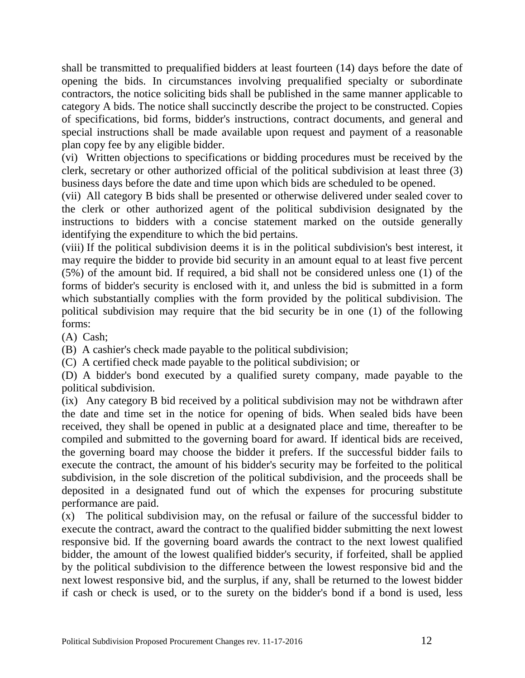shall be transmitted to prequalified bidders at least fourteen (14) days before the date of opening the bids. In circumstances involving prequalified specialty or subordinate contractors, the notice soliciting bids shall be published in the same manner applicable to category A bids. The notice shall succinctly describe the project to be constructed. Copies of specifications, bid forms, bidder's instructions, contract documents, and general and special instructions shall be made available upon request and payment of a reasonable plan copy fee by any eligible bidder.

(vi) Written objections to specifications or bidding procedures must be received by the clerk, secretary or other authorized official of the political subdivision at least three (3) business days before the date and time upon which bids are scheduled to be opened.

(vii) All category B bids shall be presented or otherwise delivered under sealed cover to the clerk or other authorized agent of the political subdivision designated by the instructions to bidders with a concise statement marked on the outside generally identifying the expenditure to which the bid pertains.

(viii) If the political subdivision deems it is in the political subdivision's best interest, it may require the bidder to provide bid security in an amount equal to at least five percent (5%) of the amount bid. If required, a bid shall not be considered unless one (1) of the forms of bidder's security is enclosed with it, and unless the bid is submitted in a form which substantially complies with the form provided by the political subdivision. The political subdivision may require that the bid security be in one (1) of the following forms:

(A) Cash;

(B) A cashier's check made payable to the political subdivision;

(C) A certified check made payable to the political subdivision; or

(D) A bidder's bond executed by a qualified surety company, made payable to the political subdivision.

(ix) Any category B bid received by a political subdivision may not be withdrawn after the date and time set in the notice for opening of bids. When sealed bids have been received, they shall be opened in public at a designated place and time, thereafter to be compiled and submitted to the governing board for award. If identical bids are received, the governing board may choose the bidder it prefers. If the successful bidder fails to execute the contract, the amount of his bidder's security may be forfeited to the political subdivision, in the sole discretion of the political subdivision, and the proceeds shall be deposited in a designated fund out of which the expenses for procuring substitute performance are paid.

(x) The political subdivision may, on the refusal or failure of the successful bidder to execute the contract, award the contract to the qualified bidder submitting the next lowest responsive bid. If the governing board awards the contract to the next lowest qualified bidder, the amount of the lowest qualified bidder's security, if forfeited, shall be applied by the political subdivision to the difference between the lowest responsive bid and the next lowest responsive bid, and the surplus, if any, shall be returned to the lowest bidder if cash or check is used, or to the surety on the bidder's bond if a bond is used, less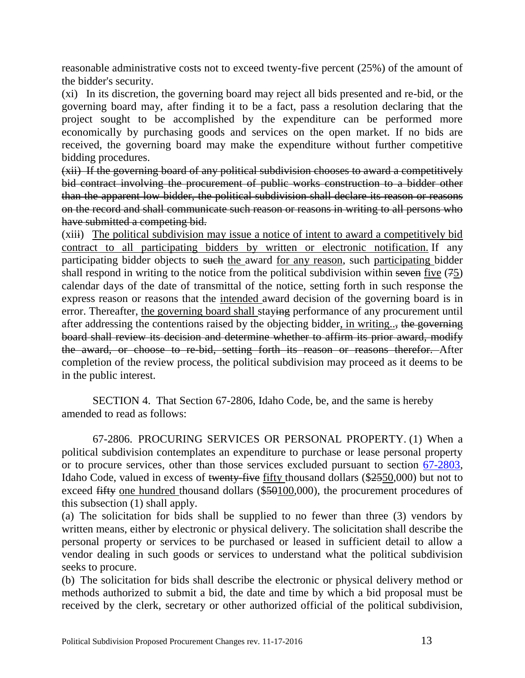reasonable administrative costs not to exceed twenty-five percent (25%) of the amount of the bidder's security.

(xi) In its discretion, the governing board may reject all bids presented and re-bid, or the governing board may, after finding it to be a fact, pass a resolution declaring that the project sought to be accomplished by the expenditure can be performed more economically by purchasing goods and services on the open market. If no bids are received, the governing board may make the expenditure without further competitive bidding procedures.

(xii) If the governing board of any political subdivision chooses to award a competitively bid contract involving the procurement of public works construction to a bidder other than the apparent low bidder, the political subdivision shall declare its reason or reasons on the record and shall communicate such reason or reasons in writing to all persons who have submitted a competing bid.

(xiii) The political subdivision may issue a notice of intent to award a competitively bid contract to all participating bidders by written or electronic notification. If any participating bidder objects to such the award for any reason, such participating bidder shall respond in writing to the notice from the political subdivision within seven five (75) calendar days of the date of transmittal of the notice, setting forth in such response the express reason or reasons that the intended award decision of the governing board is in error. Thereafter, the governing board shall staving performance of any procurement until after addressing the contentions raised by the objecting bidder, in writing..., the governing board shall review its decision and determine whether to affirm its prior award, modify the award, or choose to re-bid, setting forth its reason or reasons therefor. After completion of the review process, the political subdivision may proceed as it deems to be in the public interest.

SECTION 4. That Section 67-2806, Idaho Code, be, and the same is hereby amended to read as follows:

67-2806. PROCURING SERVICES OR PERSONAL PROPERTY. (1) When a political subdivision contemplates an expenditure to purchase or lease personal property or to procure services, other than those services excluded pursuant to section [67-2803,](http://legislature.idaho.gov/idstat/Title67/T67CH28SECT67-2803.htm) Idaho Code, valued in excess of twenty-five fifty thousand dollars (\$2550,000) but not to exceed fifty one hundred thousand dollars (\$50100,000), the procurement procedures of this subsection (1) shall apply.

(a) The solicitation for bids shall be supplied to no fewer than three (3) vendors by written means, either by electronic or physical delivery. The solicitation shall describe the personal property or services to be purchased or leased in sufficient detail to allow a vendor dealing in such goods or services to understand what the political subdivision seeks to procure.

(b) The solicitation for bids shall describe the electronic or physical delivery method or methods authorized to submit a bid, the date and time by which a bid proposal must be received by the clerk, secretary or other authorized official of the political subdivision,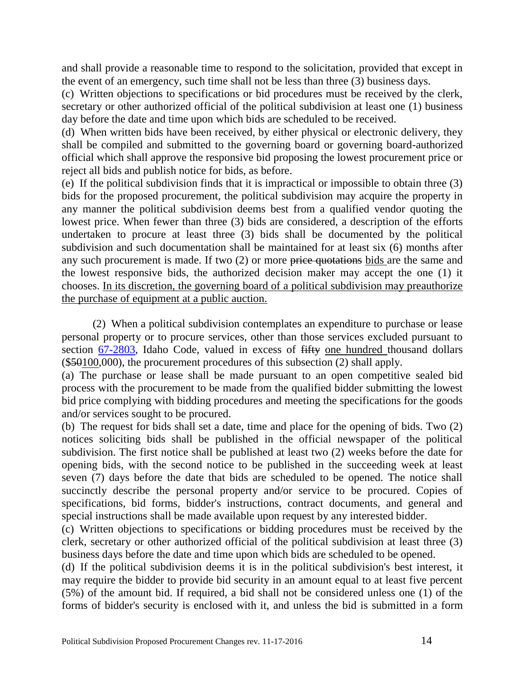and shall provide a reasonable time to respond to the solicitation, provided that except in the event of an emergency, such time shall not be less than three (3) business days.

(c) Written objections to specifications or bid procedures must be received by the clerk, secretary or other authorized official of the political subdivision at least one (1) business day before the date and time upon which bids are scheduled to be received.

(d) When written bids have been received, by either physical or electronic delivery, they shall be compiled and submitted to the governing board or governing board-authorized official which shall approve the responsive bid proposing the lowest procurement price or reject all bids and publish notice for bids, as before.

(e) If the political subdivision finds that it is impractical or impossible to obtain three (3) bids for the proposed procurement, the political subdivision may acquire the property in any manner the political subdivision deems best from a qualified vendor quoting the lowest price. When fewer than three (3) bids are considered, a description of the efforts undertaken to procure at least three (3) bids shall be documented by the political subdivision and such documentation shall be maintained for at least six (6) months after any such procurement is made. If two (2) or more price quotations bids are the same and the lowest responsive bids, the authorized decision maker may accept the one (1) it chooses. In its discretion, the governing board of a political subdivision may preauthorize the purchase of equipment at a public auction.

(2) When a political subdivision contemplates an expenditure to purchase or lease personal property or to procure services, other than those services excluded pursuant to section [67-2803,](http://legislature.idaho.gov/idstat/Title67/T67CH28SECT67-2803.htm) Idaho Code, valued in excess of fifty one hundred thousand dollars (\$50100,000), the procurement procedures of this subsection (2) shall apply.

(a) The purchase or lease shall be made pursuant to an open competitive sealed bid process with the procurement to be made from the qualified bidder submitting the lowest bid price complying with bidding procedures and meeting the specifications for the goods and/or services sought to be procured.

(b) The request for bids shall set a date, time and place for the opening of bids. Two (2) notices soliciting bids shall be published in the official newspaper of the political subdivision. The first notice shall be published at least two (2) weeks before the date for opening bids, with the second notice to be published in the succeeding week at least seven (7) days before the date that bids are scheduled to be opened. The notice shall succinctly describe the personal property and/or service to be procured. Copies of specifications, bid forms, bidder's instructions, contract documents, and general and special instructions shall be made available upon request by any interested bidder.

(c) Written objections to specifications or bidding procedures must be received by the clerk, secretary or other authorized official of the political subdivision at least three (3) business days before the date and time upon which bids are scheduled to be opened.

(d) If the political subdivision deems it is in the political subdivision's best interest, it may require the bidder to provide bid security in an amount equal to at least five percent (5%) of the amount bid. If required, a bid shall not be considered unless one (1) of the forms of bidder's security is enclosed with it, and unless the bid is submitted in a form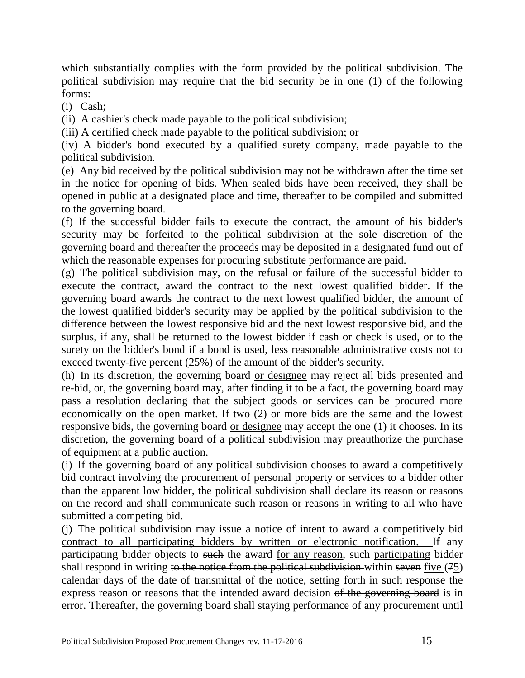which substantially complies with the form provided by the political subdivision. The political subdivision may require that the bid security be in one (1) of the following forms:

(i) Cash;

(ii) A cashier's check made payable to the political subdivision;

(iii) A certified check made payable to the political subdivision; or

(iv) A bidder's bond executed by a qualified surety company, made payable to the political subdivision.

(e) Any bid received by the political subdivision may not be withdrawn after the time set in the notice for opening of bids. When sealed bids have been received, they shall be opened in public at a designated place and time, thereafter to be compiled and submitted to the governing board.

(f) If the successful bidder fails to execute the contract, the amount of his bidder's security may be forfeited to the political subdivision at the sole discretion of the governing board and thereafter the proceeds may be deposited in a designated fund out of which the reasonable expenses for procuring substitute performance are paid.

(g) The political subdivision may, on the refusal or failure of the successful bidder to execute the contract, award the contract to the next lowest qualified bidder. If the governing board awards the contract to the next lowest qualified bidder, the amount of the lowest qualified bidder's security may be applied by the political subdivision to the difference between the lowest responsive bid and the next lowest responsive bid, and the surplus, if any, shall be returned to the lowest bidder if cash or check is used, or to the surety on the bidder's bond if a bond is used, less reasonable administrative costs not to exceed twenty-five percent (25%) of the amount of the bidder's security.

(h) In its discretion, the governing board or designee may reject all bids presented and re-bid, or, the governing board may, after finding it to be a fact, the governing board may pass a resolution declaring that the subject goods or services can be procured more economically on the open market. If two (2) or more bids are the same and the lowest responsive bids, the governing board or designee may accept the one (1) it chooses. In its discretion, the governing board of a political subdivision may preauthorize the purchase of equipment at a public auction.

(i) If the governing board of any political subdivision chooses to award a competitively bid contract involving the procurement of personal property or services to a bidder other than the apparent low bidder, the political subdivision shall declare its reason or reasons on the record and shall communicate such reason or reasons in writing to all who have submitted a competing bid.

(j) The political subdivision may issue a notice of intent to award a competitively bid contract to all participating bidders by written or electronic notification. If any participating bidder objects to such the award for any reason, such participating bidder shall respond in writing to the notice from the political subdivision-within seven five (75) calendar days of the date of transmittal of the notice, setting forth in such response the express reason or reasons that the intended award decision of the governing board is in error. Thereafter, the governing board shall staying performance of any procurement until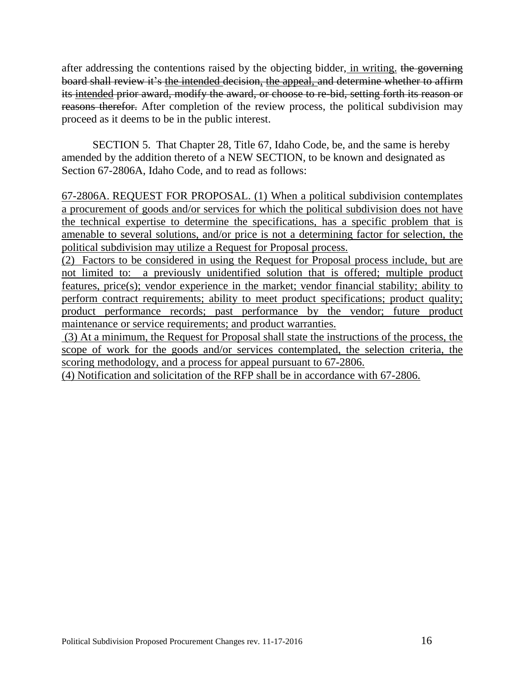after addressing the contentions raised by the objecting bidder, in writing, the governing board shall review it's the intended decision, the appeal, and determine whether to affirm its intended prior award, modify the award, or choose to re-bid, setting forth its reason or reasons therefor. After completion of the review process, the political subdivision may proceed as it deems to be in the public interest.

SECTION 5. That Chapter 28, Title 67, Idaho Code, be, and the same is hereby amended by the addition thereto of a NEW SECTION, to be known and designated as Section 67-2806A, Idaho Code, and to read as follows:

67-2806A. REQUEST FOR PROPOSAL. (1) When a political subdivision contemplates a procurement of goods and/or services for which the political subdivision does not have the technical expertise to determine the specifications, has a specific problem that is amenable to several solutions, and/or price is not a determining factor for selection, the political subdivision may utilize a Request for Proposal process.

(2) Factors to be considered in using the Request for Proposal process include, but are not limited to: a previously unidentified solution that is offered; multiple product features, price(s); vendor experience in the market; vendor financial stability; ability to perform contract requirements; ability to meet product specifications; product quality; product performance records; past performance by the vendor; future product maintenance or service requirements; and product warranties.

(3) At a minimum, the Request for Proposal shall state the instructions of the process, the scope of work for the goods and/or services contemplated, the selection criteria, the scoring methodology, and a process for appeal pursuant to 67-2806.

(4) Notification and solicitation of the RFP shall be in accordance with 67-2806.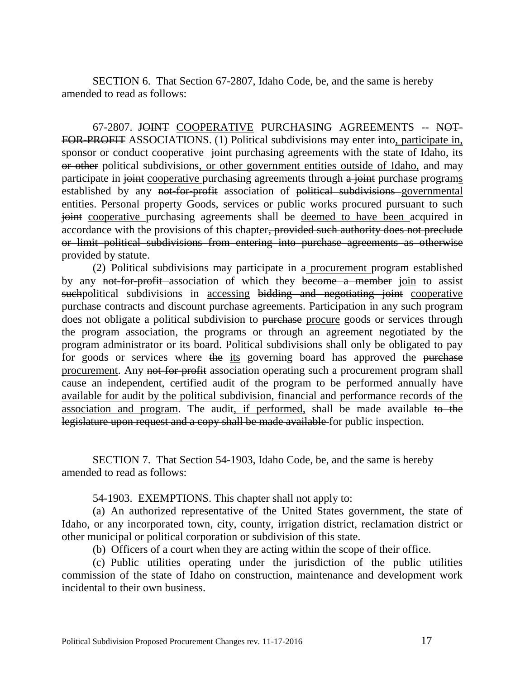SECTION 6. That Section 67-2807, Idaho Code, be, and the same is hereby amended to read as follows:

67-2807. JOINT COOPERATIVE PURCHASING AGREEMENTS -- NOT-FOR-PROFIT ASSOCIATIONS. (1) Political subdivisions may enter into, participate in, sponsor or conduct cooperative joint purchasing agreements with the state of Idaho, its or other political subdivisions, or other government entities outside of Idaho, and may participate in joint cooperative purchasing agreements through a joint purchase programs established by any not-for-profit association of political subdivisions governmental entities. Personal property Goods, services or public works procured pursuant to such joint cooperative purchasing agreements shall be deemed to have been acquired in accordance with the provisions of this chapter, provided such authority does not preclude or limit political subdivisions from entering into purchase agreements as otherwise provided by statute.

(2) Political subdivisions may participate in a procurement program established by any not-for-profit association of which they become a member join to assist suchpolitical subdivisions in accessing bidding and negotiating joint cooperative purchase contracts and discount purchase agreements. Participation in any such program does not obligate a political subdivision to purchase procure goods or services through the program association, the programs or through an agreement negotiated by the program administrator or its board. Political subdivisions shall only be obligated to pay for goods or services where the its governing board has approved the purchase procurement. Any not-for-profit association operating such a procurement program shall cause an independent, certified audit of the program to be performed annually have available for audit by the political subdivision, financial and performance records of the association and program. The audit, if performed, shall be made available to the legislature upon request and a copy shall be made available for public inspection.

SECTION 7. That Section 54-1903, Idaho Code, be, and the same is hereby amended to read as follows:

54-1903. EXEMPTIONS. This chapter shall not apply to:

(a) An authorized representative of the United States government, the state of Idaho, or any incorporated town, city, county, irrigation district, reclamation district or other municipal or political corporation or subdivision of this state.

(b) Officers of a court when they are acting within the scope of their office.

(c) Public utilities operating under the jurisdiction of the public utilities commission of the state of Idaho on construction, maintenance and development work incidental to their own business.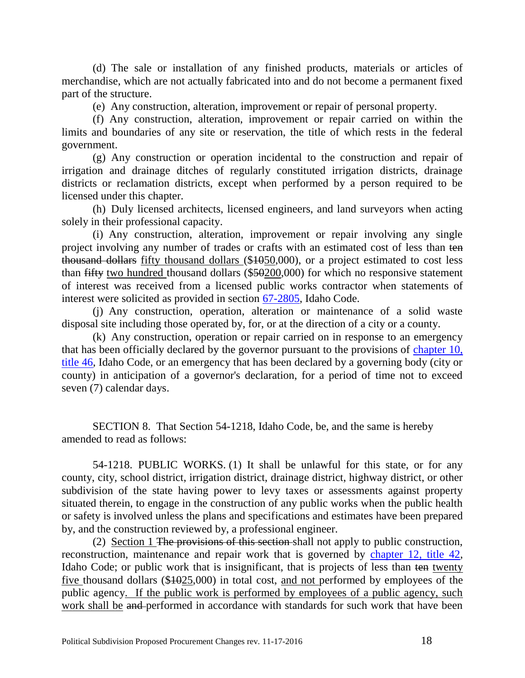(d) The sale or installation of any finished products, materials or articles of merchandise, which are not actually fabricated into and do not become a permanent fixed part of the structure.

(e) Any construction, alteration, improvement or repair of personal property.

(f) Any construction, alteration, improvement or repair carried on within the limits and boundaries of any site or reservation, the title of which rests in the federal government.

(g) Any construction or operation incidental to the construction and repair of irrigation and drainage ditches of regularly constituted irrigation districts, drainage districts or reclamation districts, except when performed by a person required to be licensed under this chapter.

(h) Duly licensed architects, licensed engineers, and land surveyors when acting solely in their professional capacity.

(i) Any construction, alteration, improvement or repair involving any single project involving any number of trades or crafts with an estimated cost of less than ten thousand dollars fifty thousand dollars (\$1050,000), or a project estimated to cost less than fifty two hundred thousand dollars (\$50200,000) for which no responsive statement of interest was received from a licensed public works contractor when statements of interest were solicited as provided in section [67-2805,](http://legislature.idaho.gov/idstat/Title67/T67CH28SECT67-2805.htm) Idaho Code.

(j) Any construction, operation, alteration or maintenance of a solid waste disposal site including those operated by, for, or at the direction of a city or a county.

(k) Any construction, operation or repair carried on in response to an emergency that has been officially declared by the governor pursuant to the provisions of [chapter 10,](http://legislature.idaho.gov/idstat/Title46/T46CH10.htm)  [title 46,](http://legislature.idaho.gov/idstat/Title46/T46CH10.htm) Idaho Code, or an emergency that has been declared by a governing body (city or county) in anticipation of a governor's declaration, for a period of time not to exceed seven (7) calendar days.

SECTION 8. That Section 54-1218, Idaho Code, be, and the same is hereby amended to read as follows:

54-1218. PUBLIC WORKS. (1) It shall be unlawful for this state, or for any county, city, school district, irrigation district, drainage district, highway district, or other subdivision of the state having power to levy taxes or assessments against property situated therein, to engage in the construction of any public works when the public health or safety is involved unless the plans and specifications and estimates have been prepared by, and the construction reviewed by, a professional engineer.

(2) Section 1 The provisions of this section shall not apply to public construction, reconstruction, maintenance and repair work that is governed by [chapter 12, title 42,](https://legislature.idaho.gov/idstat/Title42/T42CH12.htm) Idaho Code; or public work that is insignificant, that is projects of less than ten twenty five thousand dollars (\$1025,000) in total cost, and not performed by employees of the public agency. If the public work is performed by employees of a public agency, such work shall be and performed in accordance with standards for such work that have been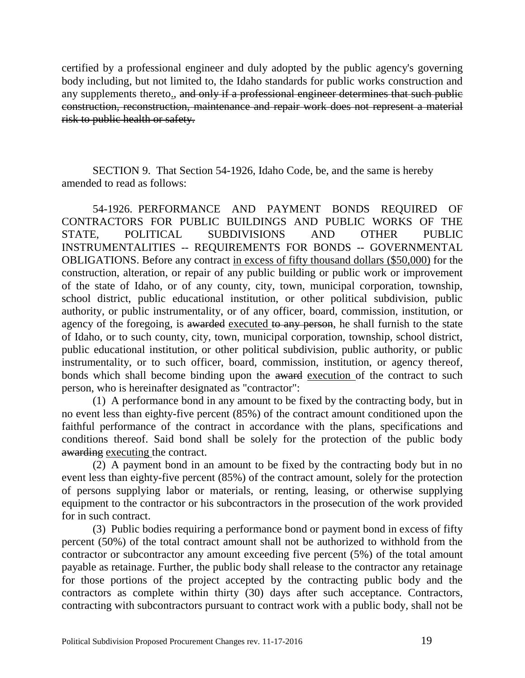certified by a professional engineer and duly adopted by the public agency's governing body including, but not limited to, the Idaho standards for public works construction and any supplements thereto<sub>1</sub>, and only if a professional engineer determines that such public construction, reconstruction, maintenance and repair work does not represent a material risk to public health or safety.

SECTION 9. That Section 54-1926, Idaho Code, be, and the same is hereby amended to read as follows:

54-1926. PERFORMANCE AND PAYMENT BONDS REQUIRED OF CONTRACTORS FOR PUBLIC BUILDINGS AND PUBLIC WORKS OF THE STATE, POLITICAL SUBDIVISIONS AND OTHER PUBLIC INSTRUMENTALITIES -- REQUIREMENTS FOR BONDS -- GOVERNMENTAL OBLIGATIONS. Before any contract in excess of fifty thousand dollars (\$50,000) for the construction, alteration, or repair of any public building or public work or improvement of the state of Idaho, or of any county, city, town, municipal corporation, township, school district, public educational institution, or other political subdivision, public authority, or public instrumentality, or of any officer, board, commission, institution, or agency of the foregoing, is awarded executed to any person, he shall furnish to the state of Idaho, or to such county, city, town, municipal corporation, township, school district, public educational institution, or other political subdivision, public authority, or public instrumentality, or to such officer, board, commission, institution, or agency thereof, bonds which shall become binding upon the award execution of the contract to such person, who is hereinafter designated as "contractor":

(1) A performance bond in any amount to be fixed by the contracting body, but in no event less than eighty-five percent (85%) of the contract amount conditioned upon the faithful performance of the contract in accordance with the plans, specifications and conditions thereof. Said bond shall be solely for the protection of the public body awarding executing the contract.

(2) A payment bond in an amount to be fixed by the contracting body but in no event less than eighty-five percent (85%) of the contract amount, solely for the protection of persons supplying labor or materials, or renting, leasing, or otherwise supplying equipment to the contractor or his subcontractors in the prosecution of the work provided for in such contract.

(3) Public bodies requiring a performance bond or payment bond in excess of fifty percent (50%) of the total contract amount shall not be authorized to withhold from the contractor or subcontractor any amount exceeding five percent (5%) of the total amount payable as retainage. Further, the public body shall release to the contractor any retainage for those portions of the project accepted by the contracting public body and the contractors as complete within thirty (30) days after such acceptance. Contractors, contracting with subcontractors pursuant to contract work with a public body, shall not be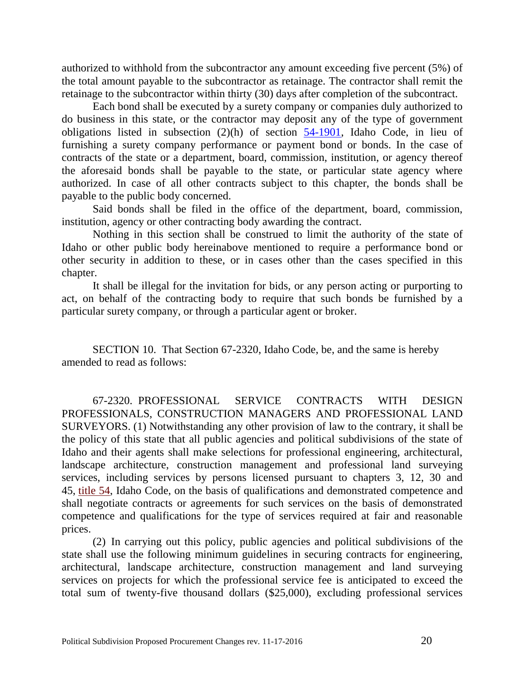authorized to withhold from the subcontractor any amount exceeding five percent (5%) of the total amount payable to the subcontractor as retainage. The contractor shall remit the retainage to the subcontractor within thirty (30) days after completion of the subcontract.

Each bond shall be executed by a surety company or companies duly authorized to do business in this state, or the contractor may deposit any of the type of government obligations listed in subsection (2)(h) of section [54-1901,](http://legislature.idaho.gov/idstat/Title54/T54CH19SECT54-1901.htm) Idaho Code, in lieu of furnishing a surety company performance or payment bond or bonds. In the case of contracts of the state or a department, board, commission, institution, or agency thereof the aforesaid bonds shall be payable to the state, or particular state agency where authorized. In case of all other contracts subject to this chapter, the bonds shall be payable to the public body concerned.

Said bonds shall be filed in the office of the department, board, commission, institution, agency or other contracting body awarding the contract.

Nothing in this section shall be construed to limit the authority of the state of Idaho or other public body hereinabove mentioned to require a performance bond or other security in addition to these, or in cases other than the cases specified in this chapter.

It shall be illegal for the invitation for bids, or any person acting or purporting to act, on behalf of the contracting body to require that such bonds be furnished by a particular surety company, or through a particular agent or broker.

SECTION 10. That Section 67-2320, Idaho Code, be, and the same is hereby amended to read as follows:

67-2320. PROFESSIONAL SERVICE CONTRACTS WITH DESIGN PROFESSIONALS, CONSTRUCTION MANAGERS AND PROFESSIONAL LAND SURVEYORS. (1) Notwithstanding any other provision of law to the contrary, it shall be the policy of this state that all public agencies and political subdivisions of the state of Idaho and their agents shall make selections for professional engineering, architectural, landscape architecture, construction management and professional land surveying services, including services by persons licensed pursuant to chapters 3, 12, 30 and 45, [title 54,](https://www.legislature.idaho.gov/idstat/Title54/T54.htm) Idaho Code, on the basis of qualifications and demonstrated competence and shall negotiate contracts or agreements for such services on the basis of demonstrated competence and qualifications for the type of services required at fair and reasonable prices.

(2) In carrying out this policy, public agencies and political subdivisions of the state shall use the following minimum guidelines in securing contracts for engineering, architectural, landscape architecture, construction management and land surveying services on projects for which the professional service fee is anticipated to exceed the total sum of twenty-five thousand dollars (\$25,000), excluding professional services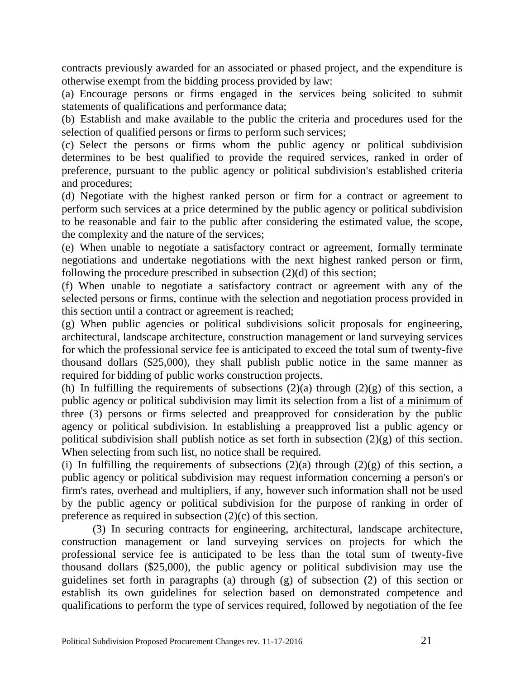contracts previously awarded for an associated or phased project, and the expenditure is otherwise exempt from the bidding process provided by law:

(a) Encourage persons or firms engaged in the services being solicited to submit statements of qualifications and performance data;

(b) Establish and make available to the public the criteria and procedures used for the selection of qualified persons or firms to perform such services;

(c) Select the persons or firms whom the public agency or political subdivision determines to be best qualified to provide the required services, ranked in order of preference, pursuant to the public agency or political subdivision's established criteria and procedures;

(d) Negotiate with the highest ranked person or firm for a contract or agreement to perform such services at a price determined by the public agency or political subdivision to be reasonable and fair to the public after considering the estimated value, the scope, the complexity and the nature of the services;

(e) When unable to negotiate a satisfactory contract or agreement, formally terminate negotiations and undertake negotiations with the next highest ranked person or firm, following the procedure prescribed in subsection (2)(d) of this section;

(f) When unable to negotiate a satisfactory contract or agreement with any of the selected persons or firms, continue with the selection and negotiation process provided in this section until a contract or agreement is reached;

(g) When public agencies or political subdivisions solicit proposals for engineering, architectural, landscape architecture, construction management or land surveying services for which the professional service fee is anticipated to exceed the total sum of twenty-five thousand dollars (\$25,000), they shall publish public notice in the same manner as required for bidding of public works construction projects.

(h) In fulfilling the requirements of subsections  $(2)(a)$  through  $(2)(g)$  of this section, a public agency or political subdivision may limit its selection from a list of a minimum of three (3) persons or firms selected and preapproved for consideration by the public agency or political subdivision. In establishing a preapproved list a public agency or political subdivision shall publish notice as set forth in subsection  $(2)(g)$  of this section. When selecting from such list, no notice shall be required.

(i) In fulfilling the requirements of subsections  $(2)(a)$  through  $(2)(g)$  of this section, a public agency or political subdivision may request information concerning a person's or firm's rates, overhead and multipliers, if any, however such information shall not be used by the public agency or political subdivision for the purpose of ranking in order of preference as required in subsection (2)(c) of this section.

(3) In securing contracts for engineering, architectural, landscape architecture, construction management or land surveying services on projects for which the professional service fee is anticipated to be less than the total sum of twenty-five thousand dollars (\$25,000), the public agency or political subdivision may use the guidelines set forth in paragraphs (a) through (g) of subsection (2) of this section or establish its own guidelines for selection based on demonstrated competence and qualifications to perform the type of services required, followed by negotiation of the fee